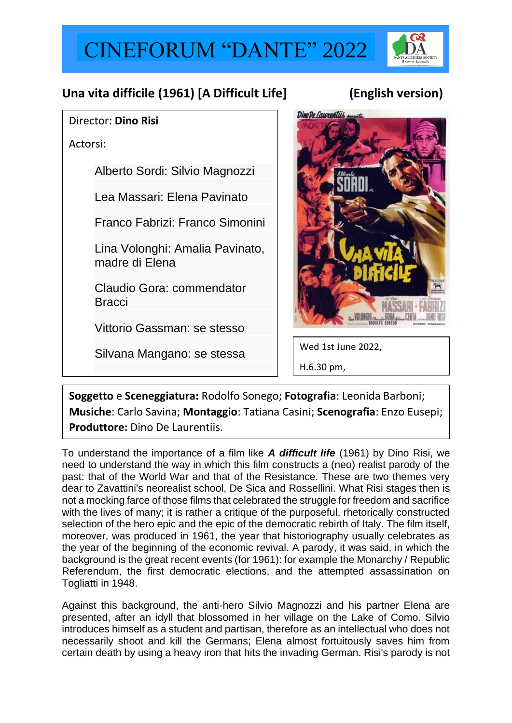## CINEFORUM "DANTE" 2022



## **Una vita difficile (1961) [A Difficult Life] (English version)**

## Director: **Dino Risi**

Actorsi:

[Alberto Sordi:](https://it.wikipedia.org/wiki/Alberto_Sordi) Silvio Magnozzi

[Lea Massari:](https://it.wikipedia.org/wiki/Lea_Massari) Elena Pavinato

[Franco Fabrizi:](https://it.wikipedia.org/wiki/Franco_Fabrizi) Franco Simonini

[Lina Volonghi:](https://it.wikipedia.org/wiki/Lina_Volonghi) Amalia Pavinato, madre di Elena

[Claudio Gora:](https://it.wikipedia.org/wiki/Claudio_Gora) commendator **Bracci** 

[Vittorio Gassman:](https://it.wikipedia.org/wiki/Vittorio_Gassman) se stesso

[Silvana Mangano:](https://it.wikipedia.org/wiki/Silvana_Mangano) se stessa



Wed 1st June 2022, H.6.30 pm,

**Soggetto** e **Sceneggiatura:** Rodolfo Sonego; **Fotografia**: Leonida Barboni; **Musiche**: Carlo Savina; **Montaggio**: Tatiana Casini; **Scenografia**: Enzo Eusepi; **Produttore:** Dino De Laurentiis.

To understand the importance of a film like *A difficult life* (1961) by Dino Risi, we need to understand the way in which this film constructs a (neo) realist parody of the past: that of the World War and that of the Resistance. These are two themes very dear to Zavattini's neorealist school, De Sica and Rossellini. What Risi stages then is not a mocking farce of those films that celebrated the struggle for freedom and sacrifice with the lives of many; it is rather a critique of the purposeful, rhetorically constructed selection of the hero epic and the epic of the democratic rebirth of Italy. The film itself, moreover, was produced in 1961, the year that historiography usually celebrates as the year of the beginning of the economic revival. A parody, it was said, in which the background is the great recent events (for 1961): for example the Monarchy / Republic Referendum, the first democratic elections, and the attempted assassination on Togliatti in 1948.

Against this background, the anti-hero Silvio Magnozzi and his partner Elena are presented, after an idyll that blossomed in her village on the Lake of Como. Silvio introduces himself as a student and partisan, therefore as an intellectual who does not necessarily shoot and kill the Germans; Elena almost fortuitously saves him from certain death by using a heavy iron that hits the invading German. Risi's parody is not